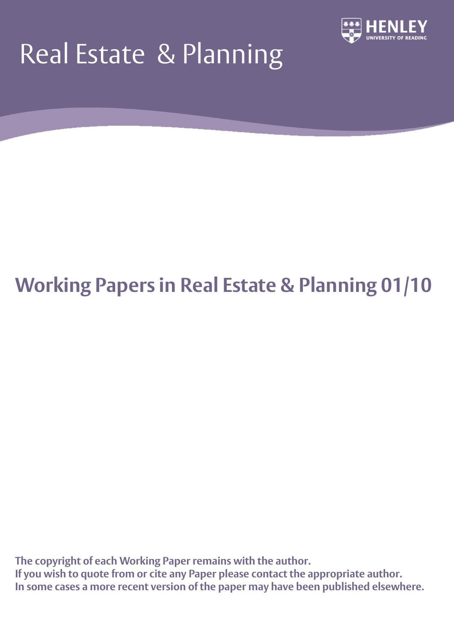# Real Estate & Planning



## **Working Papers in Real Estate & Planning 01/10**

**The copyright of each Working Paper remains with the author. If you wish to quote from or cite any Paper please contact the appropriate author. In some cases a more recent version of the paper may have been published elsewhere.**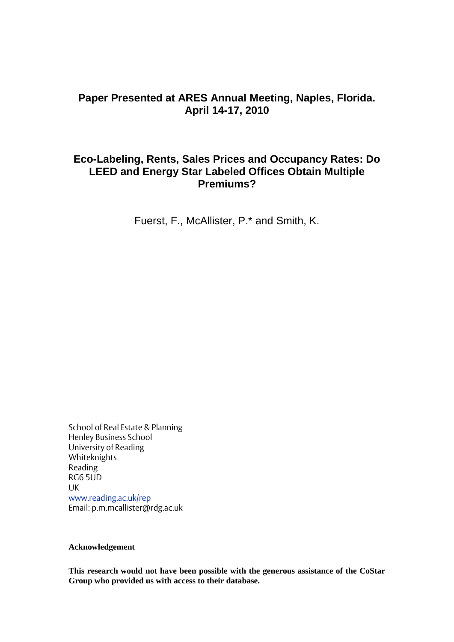## **Paper Presented at ARES Annual Meeting, Naples, Florida. April 14-17, 2010**

## **Eco-Labeling, Rents, Sales Prices and Occupancy Rates: Do LEED and Energy Star Labeled Offices Obtain Multiple Premiums?**

Fuerst, F., McAllister, P.\* and Smith, K.

School of Real Estate & Planning Henley Business School University of Reading Whiteknights Reading RG6 5UD UK [www.reading.ac.uk/rep](http://www.reading.ac.uk/rep) Email: p.m.mcallister@rdg.ac.uk

#### **Acknowledgement**

**This research would not have been possible with the generous assistance of the CoStar Group who provided us with access to their database.**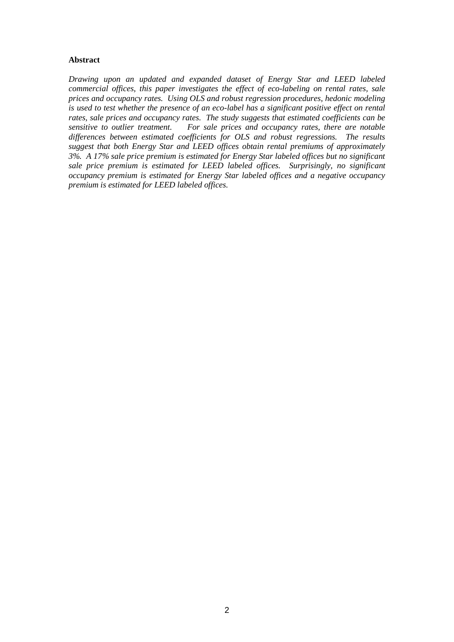#### **Abstract**

*Drawing upon an updated and expanded dataset of Energy Star and LEED labeled commercial offices, this paper investigates the effect of eco-labeling on rental rates, sale prices and occupancy rates. Using OLS and robust regression procedures, hedonic modeling is used to test whether the presence of an eco-label has a significant positive effect on rental rates, sale prices and occupancy rates. The study suggests that estimated coefficients can be sensitive to outlier treatment. For sale prices and occupancy rates, there are notable differences between estimated coefficients for OLS and robust regressions. The results suggest that both Energy Star and LEED offices obtain rental premiums of approximately 3%. A 17% sale price premium is estimated for Energy Star labeled offices but no significant sale price premium is estimated for LEED labeled offices. Surprisingly, no significant occupancy premium is estimated for Energy Star labeled offices and a negative occupancy premium is estimated for LEED labeled offices.*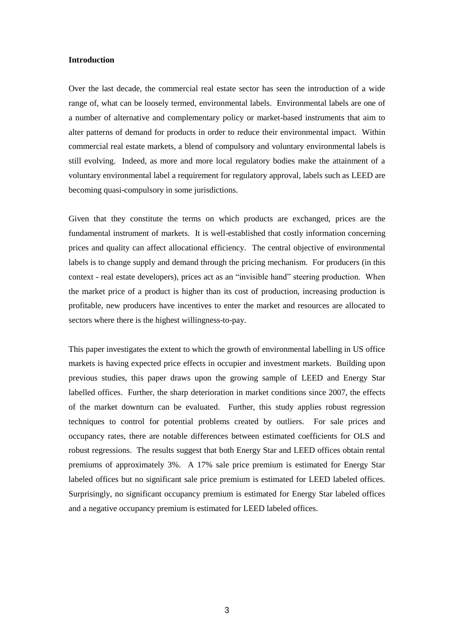#### **Introduction**

Over the last decade, the commercial real estate sector has seen the introduction of a wide range of, what can be loosely termed, environmental labels. Environmental labels are one of a number of alternative and complementary policy or market-based instruments that aim to alter patterns of demand for products in order to reduce their environmental impact. Within commercial real estate markets, a blend of compulsory and voluntary environmental labels is still evolving. Indeed, as more and more local regulatory bodies make the attainment of a voluntary environmental label a requirement for regulatory approval, labels such as LEED are becoming quasi-compulsory in some jurisdictions.

Given that they constitute the terms on which products are exchanged, prices are the fundamental instrument of markets. It is well-established that costly information concerning prices and quality can affect allocational efficiency. The central objective of environmental labels is to change supply and demand through the pricing mechanism. For producers (in this context - real estate developers), prices act as an "invisible hand" steering production. When the market price of a product is higher than its cost of production, increasing production is profitable, new producers have incentives to enter the market and resources are allocated to sectors where there is the highest willingness-to-pay.

This paper investigates the extent to which the growth of environmental labelling in US office markets is having expected price effects in occupier and investment markets. Building upon previous studies, this paper draws upon the growing sample of LEED and Energy Star labelled offices. Further, the sharp deterioration in market conditions since 2007, the effects of the market downturn can be evaluated. Further, this study applies robust regression techniques to control for potential problems created by outliers. For sale prices and occupancy rates, there are notable differences between estimated coefficients for OLS and robust regressions. The results suggest that both Energy Star and LEED offices obtain rental premiums of approximately 3%. A 17% sale price premium is estimated for Energy Star labeled offices but no significant sale price premium is estimated for LEED labeled offices. Surprisingly, no significant occupancy premium is estimated for Energy Star labeled offices and a negative occupancy premium is estimated for LEED labeled offices.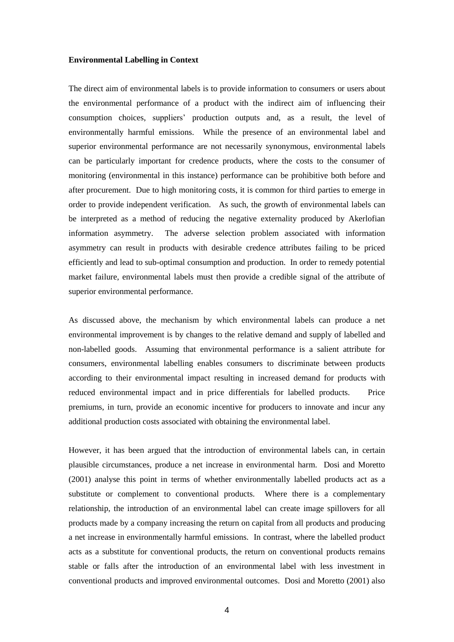#### **Environmental Labelling in Context**

The direct aim of environmental labels is to provide information to consumers or users about the environmental performance of a product with the indirect aim of influencing their consumption choices, suppliers" production outputs and, as a result, the level of environmentally harmful emissions. While the presence of an environmental label and superior environmental performance are not necessarily synonymous, environmental labels can be particularly important for credence products, where the costs to the consumer of monitoring (environmental in this instance) performance can be prohibitive both before and after procurement. Due to high monitoring costs, it is common for third parties to emerge in order to provide independent verification. As such, the growth of environmental labels can be interpreted as a method of reducing the negative externality produced by Akerlofian information asymmetry. The adverse selection problem associated with information asymmetry can result in products with desirable credence attributes failing to be priced efficiently and lead to sub-optimal consumption and production. In order to remedy potential market failure, environmental labels must then provide a credible signal of the attribute of superior environmental performance.

As discussed above, the mechanism by which environmental labels can produce a net environmental improvement is by changes to the relative demand and supply of labelled and non-labelled goods. Assuming that environmental performance is a salient attribute for consumers, environmental labelling enables consumers to discriminate between products according to their environmental impact resulting in increased demand for products with reduced environmental impact and in price differentials for labelled products. Price premiums, in turn, provide an economic incentive for producers to innovate and incur any additional production costs associated with obtaining the environmental label.

However, it has been argued that the introduction of environmental labels can, in certain plausible circumstances, produce a net increase in environmental harm. Dosi and Moretto (2001) analyse this point in terms of whether environmentally labelled products act as a substitute or complement to conventional products. Where there is a complementary relationship, the introduction of an environmental label can create image spillovers for all products made by a company increasing the return on capital from all products and producing a net increase in environmentally harmful emissions. In contrast, where the labelled product acts as a substitute for conventional products, the return on conventional products remains stable or falls after the introduction of an environmental label with less investment in conventional products and improved environmental outcomes. Dosi and Moretto (2001) also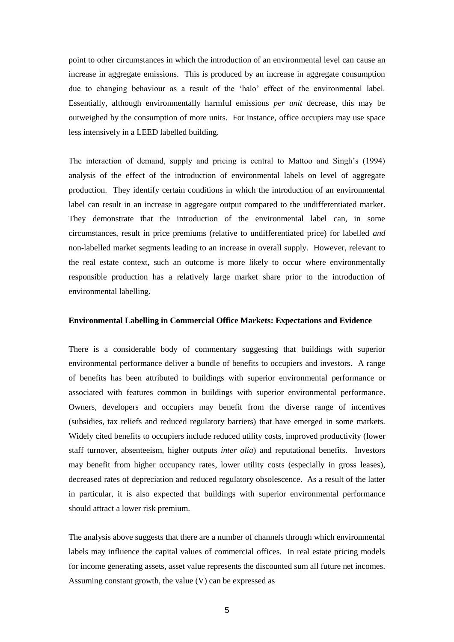point to other circumstances in which the introduction of an environmental level can cause an increase in aggregate emissions. This is produced by an increase in aggregate consumption due to changing behaviour as a result of the "halo" effect of the environmental label. Essentially, although environmentally harmful emissions *per unit* decrease, this may be outweighed by the consumption of more units. For instance, office occupiers may use space less intensively in a LEED labelled building.

The interaction of demand, supply and pricing is central to Mattoo and Singh"s (1994) analysis of the effect of the introduction of environmental labels on level of aggregate production. They identify certain conditions in which the introduction of an environmental label can result in an increase in aggregate output compared to the undifferentiated market. They demonstrate that the introduction of the environmental label can, in some circumstances, result in price premiums (relative to undifferentiated price) for labelled *and* non-labelled market segments leading to an increase in overall supply. However, relevant to the real estate context, such an outcome is more likely to occur where environmentally responsible production has a relatively large market share prior to the introduction of environmental labelling.

#### **Environmental Labelling in Commercial Office Markets: Expectations and Evidence**

There is a considerable body of commentary suggesting that buildings with superior environmental performance deliver a bundle of benefits to occupiers and investors. A range of benefits has been attributed to buildings with superior environmental performance or associated with features common in buildings with superior environmental performance. Owners, developers and occupiers may benefit from the diverse range of incentives (subsidies, tax reliefs and reduced regulatory barriers) that have emerged in some markets. Widely cited benefits to occupiers include reduced utility costs, improved productivity (lower staff turnover, absenteeism, higher outputs *inter alia*) and reputational benefits. Investors may benefit from higher occupancy rates, lower utility costs (especially in gross leases), decreased rates of depreciation and reduced regulatory obsolescence. As a result of the latter in particular, it is also expected that buildings with superior environmental performance should attract a lower risk premium.

The analysis above suggests that there are a number of channels through which environmental labels may influence the capital values of commercial offices. In real estate pricing models for income generating assets, asset value represents the discounted sum all future net incomes. Assuming constant growth, the value (V) can be expressed as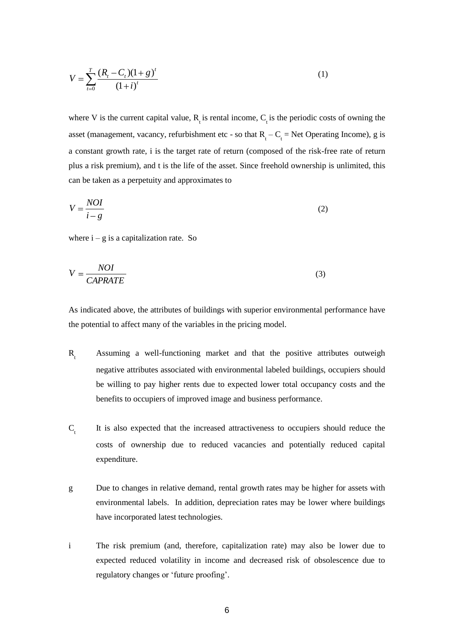$$
V = \sum_{t=0}^{T} \frac{(R_t - C_t)(1 + g)^t}{(1 + i)^t}
$$
 (1)

where V is the current capital value,  $R_t$  is rental income,  $C_t$  is the periodic costs of owning the asset (management, vacancy, refurbishment etc - so that  $R_t - C_t = Net$  Operating Income), g is a constant growth rate, i is the target rate of return (composed of the risk-free rate of return plus a risk premium), and t is the life of the asset. Since freehold ownership is unlimited, this can be taken as a perpetuity and approximates to

$$
V = \frac{NOI}{i - g} \tag{2}
$$

where  $i - g$  is a capitalization rate. So

$$
V = \frac{NOI}{CAPRATE}
$$
 (3)

As indicated above, the attributes of buildings with superior environmental performance have the potential to affect many of the variables in the pricing model.

- $R_{\mu}$  Assuming a well-functioning market and that the positive attributes outweigh negative attributes associated with environmental labeled buildings, occupiers should be willing to pay higher rents due to expected lower total occupancy costs and the benefits to occupiers of improved image and business performance.
- $C_{\text{t}}$  It is also expected that the increased attractiveness to occupiers should reduce the costs of ownership due to reduced vacancies and potentially reduced capital expenditure.
- g Due to changes in relative demand, rental growth rates may be higher for assets with environmental labels. In addition, depreciation rates may be lower where buildings have incorporated latest technologies.
- i The risk premium (and, therefore, capitalization rate) may also be lower due to expected reduced volatility in income and decreased risk of obsolescence due to regulatory changes or "future proofing".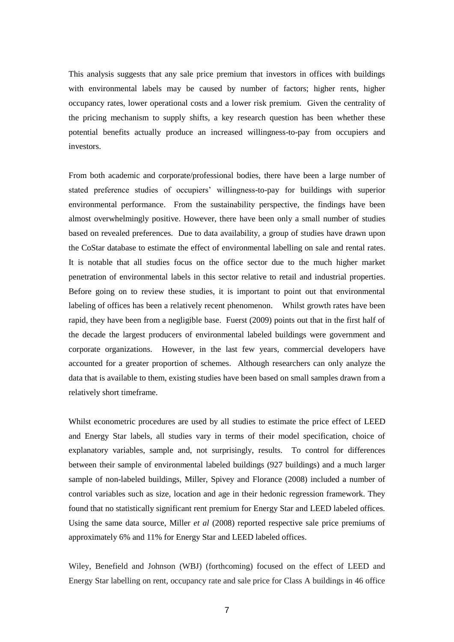This analysis suggests that any sale price premium that investors in offices with buildings with environmental labels may be caused by number of factors; higher rents, higher occupancy rates, lower operational costs and a lower risk premium. Given the centrality of the pricing mechanism to supply shifts, a key research question has been whether these potential benefits actually produce an increased willingness-to-pay from occupiers and investors.

From both academic and corporate/professional bodies, there have been a large number of stated preference studies of occupiers" willingness-to-pay for buildings with superior environmental performance. From the sustainability perspective, the findings have been almost overwhelmingly positive. However, there have been only a small number of studies based on revealed preferences. Due to data availability, a group of studies have drawn upon the CoStar database to estimate the effect of environmental labelling on sale and rental rates. It is notable that all studies focus on the office sector due to the much higher market penetration of environmental labels in this sector relative to retail and industrial properties. Before going on to review these studies, it is important to point out that environmental labeling of offices has been a relatively recent phenomenon. Whilst growth rates have been rapid, they have been from a negligible base. Fuerst (2009) points out that in the first half of the decade the largest producers of environmental labeled buildings were government and corporate organizations. However, in the last few years, commercial developers have accounted for a greater proportion of schemes. Although researchers can only analyze the data that is available to them, existing studies have been based on small samples drawn from a relatively short timeframe.

Whilst econometric procedures are used by all studies to estimate the price effect of LEED and Energy Star labels, all studies vary in terms of their model specification, choice of explanatory variables, sample and, not surprisingly, results. To control for differences between their sample of environmental labeled buildings (927 buildings) and a much larger sample of non-labeled buildings, Miller, Spivey and Florance (2008) included a number of control variables such as size, location and age in their hedonic regression framework. They found that no statistically significant rent premium for Energy Star and LEED labeled offices. Using the same data source, Miller *et al* (2008) reported respective sale price premiums of approximately 6% and 11% for Energy Star and LEED labeled offices.

Wiley, Benefield and Johnson (WBJ) (forthcoming) focused on the effect of LEED and Energy Star labelling on rent, occupancy rate and sale price for Class A buildings in 46 office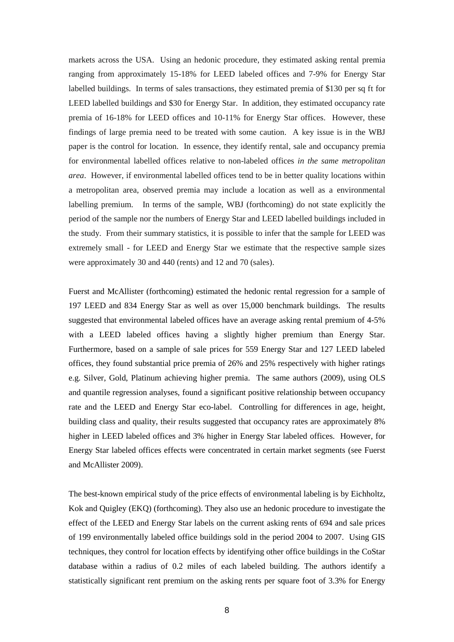markets across the USA. Using an hedonic procedure, they estimated asking rental premia ranging from approximately 15-18% for LEED labeled offices and 7-9% for Energy Star labelled buildings. In terms of sales transactions, they estimated premia of \$130 per sq ft for LEED labelled buildings and \$30 for Energy Star. In addition, they estimated occupancy rate premia of 16-18% for LEED offices and 10-11% for Energy Star offices. However, these findings of large premia need to be treated with some caution. A key issue is in the WBJ paper is the control for location. In essence, they identify rental, sale and occupancy premia for environmental labelled offices relative to non-labeled offices *in the same metropolitan area*. However, if environmental labelled offices tend to be in better quality locations within a metropolitan area, observed premia may include a location as well as a environmental labelling premium. In terms of the sample, WBJ (forthcoming) do not state explicitly the period of the sample nor the numbers of Energy Star and LEED labelled buildings included in the study. From their summary statistics, it is possible to infer that the sample for LEED was extremely small - for LEED and Energy Star we estimate that the respective sample sizes were approximately 30 and 440 (rents) and 12 and 70 (sales).

Fuerst and McAllister (forthcoming) estimated the hedonic rental regression for a sample of 197 LEED and 834 Energy Star as well as over 15,000 benchmark buildings. The results suggested that environmental labeled offices have an average asking rental premium of 4-5% with a LEED labeled offices having a slightly higher premium than Energy Star. Furthermore, based on a sample of sale prices for 559 Energy Star and 127 LEED labeled offices, they found substantial price premia of 26% and 25% respectively with higher ratings e.g. Silver, Gold, Platinum achieving higher premia. The same authors (2009), using OLS and quantile regression analyses, found a significant positive relationship between occupancy rate and the LEED and Energy Star eco-label. Controlling for differences in age, height, building class and quality, their results suggested that occupancy rates are approximately 8% higher in LEED labeled offices and 3% higher in Energy Star labeled offices. However, for Energy Star labeled offices effects were concentrated in certain market segments (see Fuerst and McAllister 2009).

The best-known empirical study of the price effects of environmental labeling is by Eichholtz, Kok and Quigley (EKQ) (forthcoming). They also use an hedonic procedure to investigate the effect of the LEED and Energy Star labels on the current asking rents of 694 and sale prices of 199 environmentally labeled office buildings sold in the period 2004 to 2007. Using GIS techniques, they control for location effects by identifying other office buildings in the CoStar database within a radius of 0.2 miles of each labeled building. The authors identify a statistically significant rent premium on the asking rents per square foot of 3.3% for Energy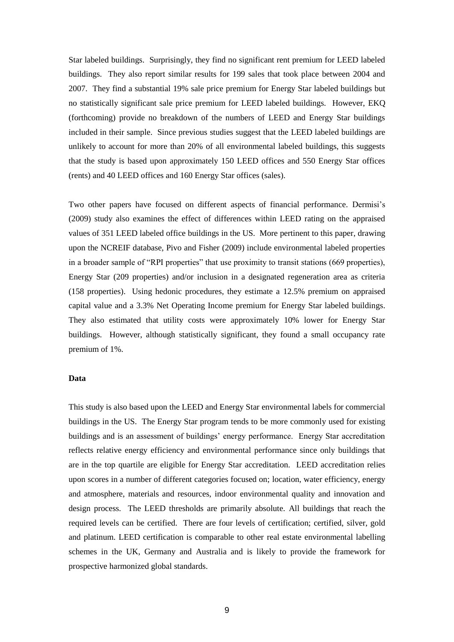Star labeled buildings. Surprisingly, they find no significant rent premium for LEED labeled buildings. They also report similar results for 199 sales that took place between 2004 and 2007. They find a substantial 19% sale price premium for Energy Star labeled buildings but no statistically significant sale price premium for LEED labeled buildings. However, EKQ (forthcoming) provide no breakdown of the numbers of LEED and Energy Star buildings included in their sample. Since previous studies suggest that the LEED labeled buildings are unlikely to account for more than 20% of all environmental labeled buildings, this suggests that the study is based upon approximately 150 LEED offices and 550 Energy Star offices (rents) and 40 LEED offices and 160 Energy Star offices (sales).

Two other papers have focused on different aspects of financial performance. Dermisi"s (2009) study also examines the effect of differences within LEED rating on the appraised values of 351 LEED labeled office buildings in the US. More pertinent to this paper, drawing upon the NCREIF database, Pivo and Fisher (2009) include environmental labeled properties in a broader sample of "RPI properties" that use proximity to transit stations (669 properties), Energy Star (209 properties) and/or inclusion in a designated regeneration area as criteria (158 properties). Using hedonic procedures, they estimate a 12.5% premium on appraised capital value and a 3.3% Net Operating Income premium for Energy Star labeled buildings. They also estimated that utility costs were approximately 10% lower for Energy Star buildings. However, although statistically significant, they found a small occupancy rate premium of 1%.

#### **Data**

This study is also based upon the LEED and Energy Star environmental labels for commercial buildings in the US. The Energy Star program tends to be more commonly used for existing buildings and is an assessment of buildings" energy performance. Energy Star accreditation reflects relative energy efficiency and environmental performance since only buildings that are in the top quartile are eligible for Energy Star accreditation. LEED accreditation relies upon scores in a number of different categories focused on; location, water efficiency, energy and atmosphere, materials and resources, indoor environmental quality and innovation and design process. The LEED thresholds are primarily absolute. All buildings that reach the required levels can be certified. There are four levels of certification; certified, silver, gold and platinum. LEED certification is comparable to other real estate environmental labelling schemes in the UK, Germany and Australia and is likely to provide the framework for prospective harmonized global standards.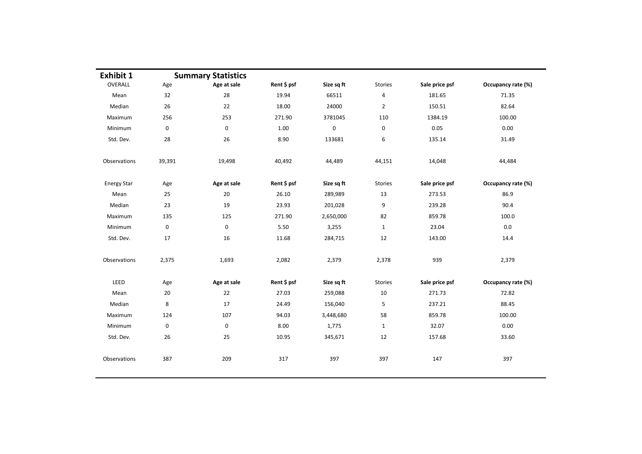| <b>Exhibit 1</b>   |             | <b>Summary Statistics</b> |             |             |                |                |                    |
|--------------------|-------------|---------------------------|-------------|-------------|----------------|----------------|--------------------|
| OVERALL            | Age         | Age at sale               | Rent \$ psf | Size sq ft  | <b>Stories</b> | Sale price psf | Occupancy rate (%) |
| Mean               | 32          | 28                        | 19.94       | 66511       | $\pmb{4}$      | 181.65         | 71.35              |
| Median             | 26          | 22                        | 18.00       | 24000       | $\overline{2}$ | 150.51         | 82.64              |
| Maximum            | 256         | 253                       | 271.90      | 3781045     | 110            | 1384.19        | 100.00             |
| Minimum            | $\mathbf 0$ | 0                         | 1.00        | $\mathbf 0$ | 0              | 0.05           | 0.00               |
| Std. Dev.          | 28          | 26                        | 8.90        | 133681      | 6              | 135.14         | 31.49              |
| Observations       | 39,391      | 19,498                    | 40,492      | 44,489      | 44,151         | 14,048         | 44,484             |
| <b>Energy Star</b> | Age         | Age at sale               | Rent \$ psf | Size sq ft  | Stories        | Sale price psf | Occupancy rate (%) |
| Mean               | 25          | 20                        | 26.10       | 289,989     | 13             | 273.53         | 86.9               |
| Median             | 23          | 19                        | 23.93       | 201,028     | 9              | 239.28         | 90.4               |
| Maximum            | 135         | 125                       | 271.90      | 2,650,000   | 82             | 859.78         | 100.0              |
| Minimum            | $\mathbf 0$ | $\mathbf 0$               | 5.50        | 3,255       | $\mathbf{1}$   | 23.04          | 0.0                |
| Std. Dev.          | 17          | 16                        | 11.68       | 284,715     | 12             | 143.00         | 14.4               |
| Observations       | 2,375       | 1,693                     | 2,082       | 2,379       | 2,378          | 939            | 2,379              |
| LEED               | Age         | Age at sale               | Rent \$ psf | Size sq ft  | Stories        | Sale price psf | Occupancy rate (%) |
| Mean               | 20          | 22                        | 27.03       | 259,088     | 10             | 271.73         | 72.82              |
| Median             | 8           | 17                        | 24.49       | 156,040     | 5              | 237.21         | 88.45              |
| Maximum            | 124         | 107                       | 94.03       | 3,448,680   | 58             | 859.78         | 100.00             |
| Minimum            | $\mathbf 0$ | $\mathbf 0$               | 8.00        | 1,775       | $\mathbf{1}$   | 32.07          | 0.00               |
| Std. Dev.          | 26          | 25                        | 10.95       | 345,671     | 12             | 157.68         | 33.60              |
| Observations       | 387         | 209                       | 317         | 397         | 397            | 147            | 397                |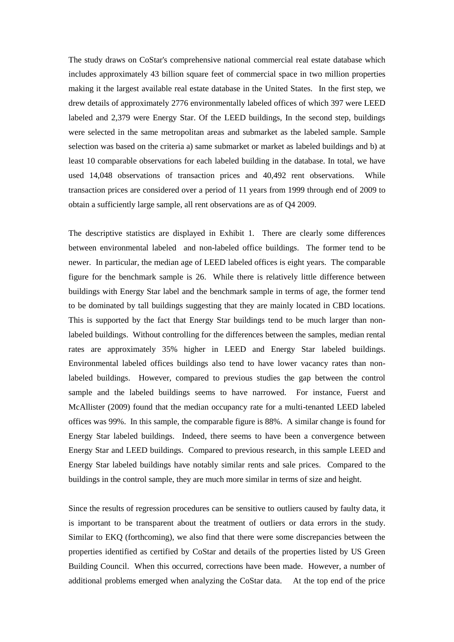The study draws on CoStar's comprehensive national commercial real estate database which includes approximately 43 billion square feet of commercial space in two million properties making it the largest available real estate database in the United States. In the first step, we drew details of approximately 2776 environmentally labeled offices of which 397 were LEED labeled and 2,379 were Energy Star. Of the LEED buildings, In the second step, buildings were selected in the same metropolitan areas and submarket as the labeled sample. Sample selection was based on the criteria a) same submarket or market as labeled buildings and b) at least 10 comparable observations for each labeled building in the database. In total, we have used 14,048 observations of transaction prices and 40,492 rent observations. While transaction prices are considered over a period of 11 years from 1999 through end of 2009 to obtain a sufficiently large sample, all rent observations are as of Q4 2009.

The descriptive statistics are displayed in Exhibit 1. There are clearly some differences between environmental labeled and non-labeled office buildings. The former tend to be newer. In particular, the median age of LEED labeled offices is eight years. The comparable figure for the benchmark sample is 26. While there is relatively little difference between buildings with Energy Star label and the benchmark sample in terms of age, the former tend to be dominated by tall buildings suggesting that they are mainly located in CBD locations. This is supported by the fact that Energy Star buildings tend to be much larger than nonlabeled buildings. Without controlling for the differences between the samples, median rental rates are approximately 35% higher in LEED and Energy Star labeled buildings. Environmental labeled offices buildings also tend to have lower vacancy rates than nonlabeled buildings. However, compared to previous studies the gap between the control sample and the labeled buildings seems to have narrowed. For instance, Fuerst and McAllister (2009) found that the median occupancy rate for a multi-tenanted LEED labeled offices was 99%. In this sample, the comparable figure is 88%. A similar change is found for Energy Star labeled buildings. Indeed, there seems to have been a convergence between Energy Star and LEED buildings. Compared to previous research, in this sample LEED and Energy Star labeled buildings have notably similar rents and sale prices. Compared to the buildings in the control sample, they are much more similar in terms of size and height.

Since the results of regression procedures can be sensitive to outliers caused by faulty data, it is important to be transparent about the treatment of outliers or data errors in the study. Similar to EKQ (forthcoming), we also find that there were some discrepancies between the properties identified as certified by CoStar and details of the properties listed by US Green Building Council. When this occurred, corrections have been made. However, a number of additional problems emerged when analyzing the CoStar data. At the top end of the price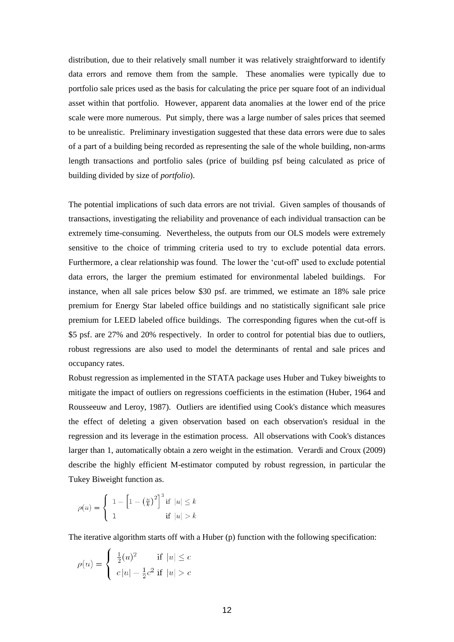distribution, due to their relatively small number it was relatively straightforward to identify data errors and remove them from the sample. These anomalies were typically due to portfolio sale prices used as the basis for calculating the price per square foot of an individual asset within that portfolio. However, apparent data anomalies at the lower end of the price scale were more numerous. Put simply, there was a large number of sales prices that seemed to be unrealistic. Preliminary investigation suggested that these data errors were due to sales of a part of a building being recorded as representing the sale of the whole building, non-arms length transactions and portfolio sales (price of building psf being calculated as price of building divided by size of *portfolio*).

The potential implications of such data errors are not trivial. Given samples of thousands of transactions, investigating the reliability and provenance of each individual transaction can be extremely time-consuming. Nevertheless, the outputs from our OLS models were extremely sensitive to the choice of trimming criteria used to try to exclude potential data errors. Furthermore, a clear relationship was found. The lower the "cut-off" used to exclude potential data errors, the larger the premium estimated for environmental labeled buildings. For instance, when all sale prices below \$30 psf. are trimmed, we estimate an 18% sale price premium for Energy Star labeled office buildings and no statistically significant sale price premium for LEED labeled office buildings. The corresponding figures when the cut-off is \$5 psf. are 27% and 20% respectively. In order to control for potential bias due to outliers, robust regressions are also used to model the determinants of rental and sale prices and occupancy rates.

Robust regression as implemented in the STATA package uses Huber and Tukey biweights to mitigate the impact of outliers on regressions coefficients in the estimation (Huber, 1964 and Rousseeuw and Leroy, 1987). Outliers are identified using Cook's distance which measures the effect of deleting a given observation based on each observation's residual in the regression and its leverage in the estimation process. All observations with Cook's distances larger than 1, automatically obtain a zero weight in the estimation. Verardi and Croux (2009) describe the highly efficient M-estimator computed by robust regression, in particular the Tukey Biweight function as.

$$
\rho(u) = \begin{cases} 1 - \left[1 - \left(\frac{u}{k}\right)^2\right]^3 \text{if } |u| \le k\\ 1 & \text{if } |u| > k \end{cases}
$$

The iterative algorithm starts off with a Huber (p) function with the following specification:

$$
\rho(u) = \begin{cases} \frac{1}{2}(u)^2 & \text{if } |u| \le c \\ c|u| - \frac{1}{2}c^2 & \text{if } |u| > c \end{cases}
$$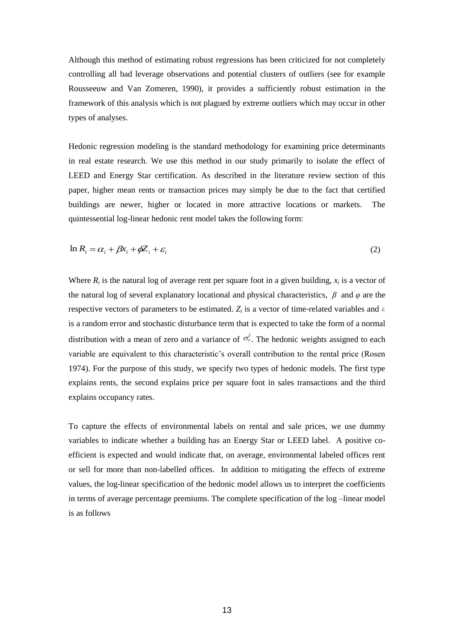Although this method of estimating robust regressions has been criticized for not completely controlling all bad leverage observations and potential clusters of outliers (see for example Rousseeuw and Van Zomeren, 1990), it provides a sufficiently robust estimation in the framework of this analysis which is not plagued by extreme outliers which may occur in other types of analyses.

Hedonic regression modeling is the standard methodology for examining price determinants in real estate research. We use this method in our study primarily to isolate the effect of LEED and Energy Star certification. As described in the literature review section of this paper, higher mean rents or transaction prices may simply be due to the fact that certified buildings are newer, higher or located in more attractive locations or markets. The quintessential log-linear hedonic rent model takes the following form:

$$
\ln R_i = \alpha_i + \beta x_i + \phi Z_i + \varepsilon_i \tag{2}
$$

Where  $R_i$  is the natural log of average rent per square foot in a given building,  $x_i$  is a vector of the natural log of several explanatory locational and physical characteristics, *β* and *φ* are the respective vectors of parameters to be estimated.  $Z_i$  is a vector of time-related variables and  $\epsilon_i$ is a random error and stochastic disturbance term that is expected to take the form of a normal distribution with a mean of zero and a variance of  $\sigma_e^2$ . The hedonic weights assigned to each variable are equivalent to this characteristic"s overall contribution to the rental price (Rosen 1974). For the purpose of this study, we specify two types of hedonic models. The first type explains rents, the second explains price per square foot in sales transactions and the third explains occupancy rates.

To capture the effects of environmental labels on rental and sale prices, we use dummy variables to indicate whether a building has an Energy Star or LEED label. A positive coefficient is expected and would indicate that, on average, environmental labeled offices rent or sell for more than non-labelled offices. In addition to mitigating the effects of extreme values, the log-linear specification of the hedonic model allows us to interpret the coefficients in terms of average percentage premiums. The complete specification of the log –linear model is as follows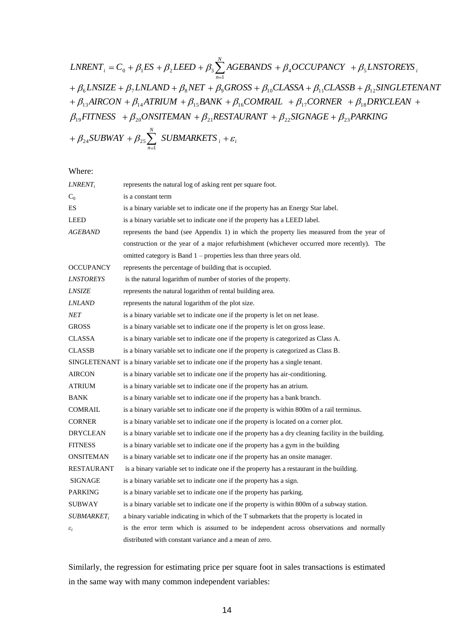LNRENT<sub>i</sub> = C<sub>0</sub> + 
$$
\beta_1 ES
$$
 +  $\beta_2 L EED$  +  $\beta_3 \sum_{n=1}^{N} AGEBANDS$  +  $\beta_4 OCCUPANCY$  +  $\beta_5 LNSTOREYS$ <sub>i</sub>  
+  $\beta_6 LNSIZE$  +  $\beta_7 LNLAND$  +  $\beta_8 NET$  +  $\beta_9 GROSS$  +  $\beta_{10} CLASSA$  +  $\beta_{11} CLASSB$  +  $\beta_{12} SINGLETENANT$   
+  $\beta_{13} AIRCON$  +  $\beta_{14}ATRIUM$  +  $\beta_{15} BANK$  +  $\beta_{16} COMRAL$  +  $\beta_{17} CORNER$  +  $\beta_{18} DRYCLEAN$  +  
 $\beta_{19} FITNESS$  +  $\beta_{20} ONSITERMAN$  +  $\beta_{21} RESTAURANT$  +  $\beta_{22} SIGNAGE$  +  $\beta_{23}PARKING$   
+  $\beta_{24} SUBWAY$  +  $\beta_{25} \sum_{n=1}^{N} SUBMARKETS$ <sub>i</sub> +  $\varepsilon_i$ 

Where:

| $LNRENT_i$              | represents the natural log of asking rent per square foot.                                            |
|-------------------------|-------------------------------------------------------------------------------------------------------|
| $C_0$                   | is a constant term                                                                                    |
| ES                      | is a binary variable set to indicate one if the property has an Energy Star label.                    |
| LEED                    | is a binary variable set to indicate one if the property has a LEED label.                            |
| AGEBAND                 | represents the band (see Appendix 1) in which the property lies measured from the year of             |
|                         | construction or the year of a major refurbishment (whichever occurred more recently). The             |
|                         | omitted category is Band 1 - properties less than three years old.                                    |
| <b>OCCUPANCY</b>        | represents the percentage of building that is occupied.                                               |
| <i><b>LNSTOREYS</b></i> | is the natural logarithm of number of stories of the property.                                        |
| <b>LNSIZE</b>           | represents the natural logarithm of rental building area.                                             |
| <i>LNLAND</i>           | represents the natural logarithm of the plot size.                                                    |
| <b>NET</b>              | is a binary variable set to indicate one if the property is let on net lease.                         |
| <b>GROSS</b>            | is a binary variable set to indicate one if the property is let on gross lease.                       |
| <b>CLASSA</b>           | is a binary variable set to indicate one if the property is categorized as Class A.                   |
| <b>CLASSB</b>           | is a binary variable set to indicate one if the property is categorized as Class B.                   |
|                         | SINGLETENANT is a binary variable set to indicate one if the property has a single tenant.            |
| <b>AIRCON</b>           | is a binary variable set to indicate one if the property has air-conditioning.                        |
| <b>ATRIUM</b>           | is a binary variable set to indicate one if the property has an atrium.                               |
| <b>BANK</b>             | is a binary variable set to indicate one if the property has a bank branch.                           |
| <b>COMRAIL</b>          | is a binary variable set to indicate one if the property is within 800m of a rail terminus.           |
| <b>CORNER</b>           | is a binary variable set to indicate one if the property is located on a corner plot.                 |
| <b>DRYCLEAN</b>         | is a binary variable set to indicate one if the property has a dry cleaning facility in the building. |
| <b>FITNESS</b>          | is a binary variable set to indicate one if the property has a gym in the building                    |
| <b>ONSITEMAN</b>        | is a binary variable set to indicate one if the property has an onsite manager.                       |
| <b>RESTAURANT</b>       | is a binary variable set to indicate one if the property has a restaurant in the building.            |
| <b>SIGNAGE</b>          | is a binary variable set to indicate one if the property has a sign.                                  |
| <b>PARKING</b>          | is a binary variable set to indicate one if the property has parking.                                 |
| <b>SUBWAY</b>           | is a binary variable set to indicate one if the property is within 800m of a subway station.          |
| $SUBMARKET_i$           | a binary variable indicating in which of the T submarkets that the property is located in             |
| $\varepsilon_i$         | is the error term which is assumed to be independent across observations and normally                 |
|                         | distributed with constant variance and a mean of zero.                                                |

Similarly, the regression for estimating price per square foot in sales transactions is estimated in the same way with many common independent variables: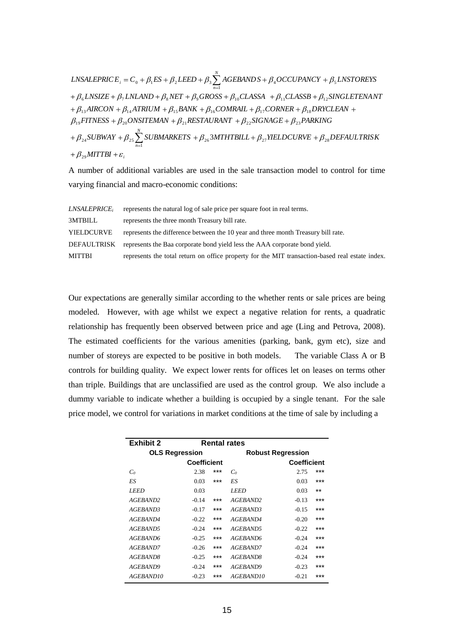$MITTBI + \varepsilon_i$ *N n N*  $\mu_{\beta} L$ NSALEPRICE<sub>i</sub> = C<sub>0</sub> +  $\beta_1$ ES +  $\beta_2$ LEED +  $\beta_3 \sum_{n=1}^{\infty} AGEBANDS + \beta_4 OCCUPANCY + \beta_5 LNSTOREYS$ <br>
+  $\beta_6 LNSIZE + \beta_7 LNLAND + \beta_8 NET + \beta_9 GROSS + \beta_{10} CLASSA + \beta_{11} CLASSB + \beta_{12} SINGLETENAN$  $SUBWAY + \beta_{25}$  $SUBMARKETS + \beta_{26}$  $MTHTBILL + \beta_{27}$  $YIELDCURVE + \beta_{28}$  $DEFAULTRISK$  $\beta_{19}$ FITNESS +  $\beta_{20}$ ONSITEMAN +  $\beta_{21}$ RESTAURANT +  $\beta_{22}$ SIGNAGE +  $\beta_{23}$ PARKING  $\beta_{13}$ AIRCON +  $\beta_{14}$ ATRIUM +  $\beta_{15}$ BANK +  $\beta_{16}$ COMRAIL +  $\beta_{17}$ CORNER +  $\beta_{18}$ DRYCLEAN<br>  $\beta_{19}$ FITNESS +  $\beta_{20}$ ONSITEMAN +  $\beta_{21}$ RESTAURANT +  $\beta_{22}$ SIGNAGE +  $\beta_{23}$ PARKING  $+\beta_6$  *LNSIZE* +  $\beta_7$  *LNLAND* +  $\beta_8$  *NET* +  $\beta_9$  *GROSS* +  $\beta_{10}$  *CLASSA* +  $\beta_{11}$  *CLASSB* +  $\beta_{12}$  *SINGLETENANT* 24<br>29  $\begin{split} &FITNESS+\beta_{20}ONSITEMAN+\beta_{21}RESTAURANT+\beta_{22}SIGNAGE+\beta_{23}PARKING\ &\phantom{xx} _{24}SUBWAY+\beta_{25}\sum_{n=1}^{N} SUBMARKETS+\beta_{26} 3MTHTBILL+\beta_{27}YIELDCURVE+\beta_{28} \end{split}$  $\beta_6$ LNSIZE +  $\beta_7$ LNLAND +  $\beta_8$ NET +  $\beta_9$ GROSS +  $\beta_{10}$ CLASSA +  $\beta_{11}$ CLASSB<br>  $\beta_{13}$ AIRCON +  $\beta_{14}$ ATRIUM +  $\beta_{15}$ BANK +  $\beta_{16}$ COMRAIL +  $\beta_{17}$ CORNER +  $\beta_{18}$ 3

A number of additional variables are used in the sale transaction model to control for time varying financial and macro-economic conditions:

| <i>LNSALEPRICE,</i> | represents the natural log of sale price per square foot in real terms.                         |
|---------------------|-------------------------------------------------------------------------------------------------|
| 3MTBILL             | represents the three month Treasury bill rate.                                                  |
| YIELDCURVE          | represents the difference between the 10 year and three month Treasury bill rate.               |
| DEFAULTRISK         | represents the Baa corporate bond yield less the AAA corporate bond yield.                      |
| MITTBI              | represents the total return on office property for the MIT transaction-based real estate index. |

Our expectations are generally similar according to the whether rents or sale prices are being modeled. However, with age whilst we expect a negative relation for rents, a quadratic relationship has frequently been observed between price and age (Ling and Petrova, 2008). The estimated coefficients for the various amenities (parking, bank, gym etc), size and number of storeys are expected to be positive in both models. The variable Class A or B controls for building quality. We expect lower rents for offices let on leases on terms other than triple. Buildings that are unclassified are used as the control group. We also include a dummy variable to indicate whether a building is occupied by a single tenant. For the sale price model, we control for variations in market conditions at the time of sale by including a

| <b>Exhibit 2</b>      |                    |     | <b>Rental rates</b>      |                    |       |
|-----------------------|--------------------|-----|--------------------------|--------------------|-------|
| <b>OLS Regression</b> |                    |     | <b>Robust Regression</b> |                    |       |
|                       | <b>Coefficient</b> |     |                          | <b>Coefficient</b> |       |
| C <sub>0</sub>        | 2.38               | *** | C <sub>0</sub>           | 2.75               | ***   |
| ES                    | 0.03               | *** | ES                       | 0.03               | ***   |
| LEED                  | 0.03               |     | LEED                     | 0.03               | $***$ |
| AGEBAND2              | $-0.14$            | *** | AGEBAND2                 | $-0.13$            | ***   |
| AGEBAND3              | $-0.17$            | *** | AGEBAND3                 | $-0.15$            | ***   |
| <i>AGEBAND4</i>       | $-0.22$            | *** | <i>AGEBAND4</i>          | $-0.20$            | ***   |
| AGEBAND5              | $-0.24$            | *** | AGEBAND5                 | $-0.22$            | ***   |
| AGEBAND6              | $-0.25$            | *** | AGEBAND6                 | $-0.24$            | ***   |
| AGEBAND7              | $-0.26$            | *** | AGEBAND7                 | $-0.24$            | ***   |
| AGEBAND8              | $-0.25$            | *** | AGEBAND8                 | $-0.24$            | ***   |
| AGEBAND9              | $-0.24$            | *** | AGEBAND9                 | $-0.23$            | ***   |
| AGEBAND10             | $-0.23$            | *** | AGEBAND10                | $-0.21$            | ***   |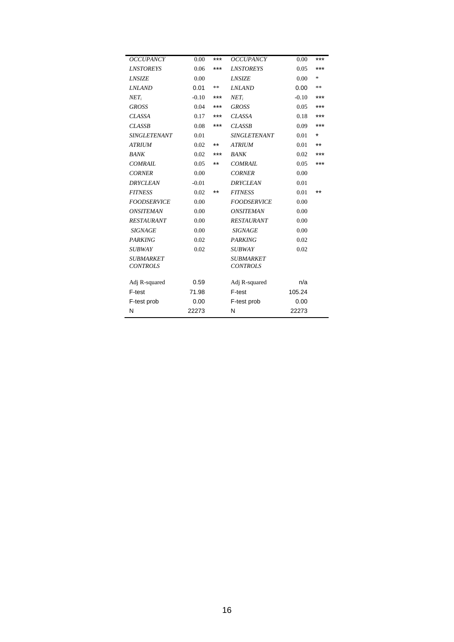| <b>OCCUPANCY</b>                    | 0.00    | $***$ | <b>OCCUPANCY</b>                    | 0.00    | ***     |
|-------------------------------------|---------|-------|-------------------------------------|---------|---------|
| <b>LNSTOREYS</b>                    | 0.06    | ***   | <b>LNSTOREYS</b>                    | 0.05    | ***     |
| <b>LNSIZE</b>                       | 0.00    |       | <b>LNSIZE</b>                       | 0.00    | $\ast$  |
| <b>LNLAND</b>                       | 0.01    | **    | <b>LNLAND</b>                       | 0.00    | **      |
| $NET_i$                             | $-0.10$ | ***   | $NET_i$                             | $-0.10$ | ***     |
| <b>GROSS</b>                        | 0.04    | ***   | <b>GROSS</b>                        | 0.05    | ***     |
| <b>CLASSA</b>                       | 0.17    | ***   | <b>CLASSA</b>                       | 0.18    | ***     |
| <b>CLASSB</b>                       | 0.08    | ***   | <b>CLASSB</b>                       | 0.09    | ***     |
| <b>SINGLETENANT</b>                 | 0.01    |       | <b>SINGLETENANT</b>                 | 0.01    | $\star$ |
| <b>ATRIUM</b>                       | 0.02    | **    | <b>ATRIUM</b>                       | 0.01    | $***$   |
| <b>BANK</b>                         | 0.02    | ***   | BANK                                | 0.02    | ***     |
| <b>COMRAIL</b>                      | 0.05    | $***$ | <b>COMRAIL</b>                      | 0.05    | ***     |
| <b>CORNER</b>                       | 0.00    |       | <b>CORNER</b>                       | 0.00    |         |
| <b>DRYCLEAN</b>                     | $-0.01$ |       | <b>DRYCLEAN</b>                     | 0.01    |         |
| <b>FITNESS</b>                      | 0.02    | $***$ | <b>FITNESS</b>                      | 0.01    | $***$   |
| <b>FOODSERVICE</b>                  | 0.00    |       | <b>FOODSERVICE</b>                  | 0.00    |         |
| <b>ONSITEMAN</b>                    | 0.00    |       | <b>ONSITEMAN</b>                    | 0.00    |         |
| <b>RESTAURANT</b>                   | 0.00    |       | RESTAURANT                          | 0.00    |         |
| <i>SIGNAGE</i>                      | 0.00    |       | <b>SIGNAGE</b>                      | 0.00    |         |
| <b>PARKING</b>                      | 0.02    |       | <b>PARKING</b>                      | 0.02    |         |
| <i><b>SUBWAY</b></i>                | 0.02    |       | <b>SUBWAY</b>                       | 0.02    |         |
| <i>SUBMARKET</i><br><b>CONTROLS</b> |         |       | <b>SUBMARKET</b><br><b>CONTROLS</b> |         |         |
| Adj R-squared                       | 0.59    |       | Adj R-squared                       | n/a     |         |
| F-test                              | 71.98   |       | F-test                              | 105.24  |         |
| F-test prob                         | 0.00    |       | F-test prob                         | 0.00    |         |
| N                                   | 22273   |       | N                                   | 22273   |         |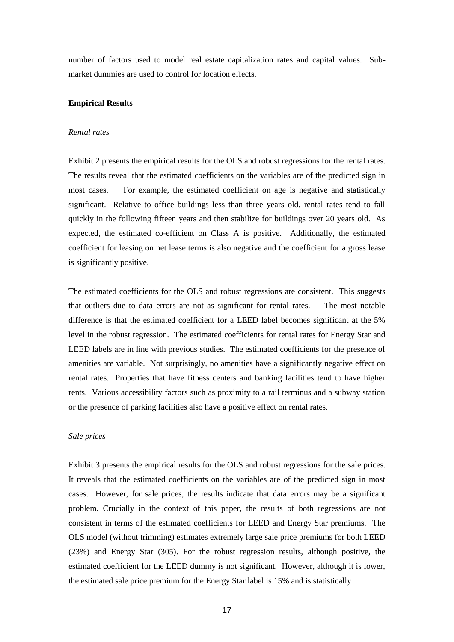number of factors used to model real estate capitalization rates and capital values. Submarket dummies are used to control for location effects.

#### **Empirical Results**

#### *Rental rates*

Exhibit 2 presents the empirical results for the OLS and robust regressions for the rental rates. The results reveal that the estimated coefficients on the variables are of the predicted sign in most cases. For example, the estimated coefficient on age is negative and statistically significant. Relative to office buildings less than three years old, rental rates tend to fall quickly in the following fifteen years and then stabilize for buildings over 20 years old. As expected, the estimated co-efficient on Class A is positive. Additionally, the estimated coefficient for leasing on net lease terms is also negative and the coefficient for a gross lease is significantly positive.

The estimated coefficients for the OLS and robust regressions are consistent. This suggests that outliers due to data errors are not as significant for rental rates. The most notable difference is that the estimated coefficient for a LEED label becomes significant at the 5% level in the robust regression. The estimated coefficients for rental rates for Energy Star and LEED labels are in line with previous studies. The estimated coefficients for the presence of amenities are variable. Not surprisingly, no amenities have a significantly negative effect on rental rates. Properties that have fitness centers and banking facilities tend to have higher rents. Various accessibility factors such as proximity to a rail terminus and a subway station or the presence of parking facilities also have a positive effect on rental rates.

#### *Sale prices*

Exhibit 3 presents the empirical results for the OLS and robust regressions for the sale prices. It reveals that the estimated coefficients on the variables are of the predicted sign in most cases. However, for sale prices, the results indicate that data errors may be a significant problem. Crucially in the context of this paper, the results of both regressions are not consistent in terms of the estimated coefficients for LEED and Energy Star premiums. The OLS model (without trimming) estimates extremely large sale price premiums for both LEED (23%) and Energy Star (305). For the robust regression results, although positive, the estimated coefficient for the LEED dummy is not significant. However, although it is lower, the estimated sale price premium for the Energy Star label is 15% and is statistically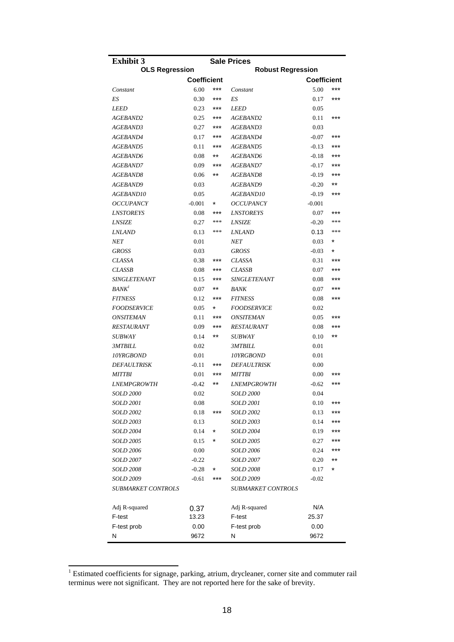| <b>Exhibit 3</b>                     |                    |         | <b>Sale Prices</b>                   |                    |            |
|--------------------------------------|--------------------|---------|--------------------------------------|--------------------|------------|
| <b>OLS Regression</b>                |                    |         | <b>Robust Regression</b>             |                    |            |
|                                      | <b>Coefficient</b> |         |                                      | <b>Coefficient</b> |            |
| Constant                             | 6.00               | ***     | Constant                             | 5.00               | ***        |
| ES                                   | 0.30               | ***     | ES                                   | 0.17               | ***        |
| <b>LEED</b>                          | 0.23               | ***     | LEED                                 | 0.05               |            |
| <i>AGEBAND2</i>                      | 0.25               | ***     | <i>AGEBAND2</i>                      | 0.11               | ***        |
| AGEBAND3                             | 0.27               | ***     | <i>AGEBAND3</i>                      | 0.03               |            |
| AGEBAND4                             | 0.17               | ***     | <i>AGEBAND4</i>                      | $-0.07$            | ***        |
| AGEBAND5                             | 0.11               | ***     | <i>AGEBAND5</i>                      | $-0.13$            | ***        |
| AGEBAND6                             | 0.08               | $***$   | <i>AGEBAND6</i>                      | $-0.18$            | ***        |
| AGEBAND7                             | 0.09               | ***     | <i>AGEBAND7</i>                      | $-0.17$            | ***        |
| AGEBAND8                             | 0.06               | **      | <i>AGEBAND8</i>                      | $-0.19$            | ***        |
| <i>AGEBAND9</i>                      | 0.03               |         | <i>AGEBAND9</i>                      | $-0.20$            | $***$      |
| <i>AGEBAND10</i>                     | 0.05               |         | <i>AGEBAND10</i>                     | $-0.19$            | ***        |
| <b>OCCUPANCY</b>                     | $-0.001$           | $\star$ | <b>OCCUPANCY</b>                     | $-0.001$           |            |
| <b>LNSTOREYS</b>                     | 0.08               | ***     | <i><b>LNSTOREYS</b></i>              | 0.07               | ***        |
| <b>LNSIZE</b>                        | 0.27               | ***     | <b>LNSIZE</b>                        | $-0.20$            | ***        |
| <i><b>LNLAND</b></i>                 | 0.13               | ***     | <b>LNLAND</b>                        | 0.13               | ***        |
| NET                                  | 0.01               |         | NET                                  | 0.03               | *          |
| <b>GROSS</b>                         | 0.03               |         | <b>GROSS</b>                         | $-0.03$            | $\star$    |
| <b>CLASSA</b>                        | 0.38               | $***$   | <b>CLASSA</b>                        | 0.31               | ***        |
| <b>CLASSB</b>                        | 0.08               | ***     | <b>CLASSB</b>                        | 0.07               | ***        |
| SINGLETENANT                         | 0.15               | ***     | SINGLETENANT                         | 0.08               | ***        |
| BANK <sup>1</sup>                    | 0.07               | $***$   | BANK                                 | 0.07               | ***        |
| <i>FITNESS</i>                       | 0.12               | ***     | <i>FITNESS</i>                       | 0.08               | $***$      |
| <b>FOODSERVICE</b>                   | 0.05               | $\star$ | <b>FOODSERVICE</b>                   | 0.02               |            |
| <b>ONSITEMAN</b>                     | 0.11               | ***     | <b>ONSITEMAN</b>                     | 0.05               | ***        |
| <i>RESTAURANT</i>                    | 0.09               | ***     | <i>RESTAURANT</i>                    | 0.08               | $***$      |
| <i>SUBWAY</i>                        | 0.14               | $***$   | <i>SUBWAY</i>                        | 0.10               | $***$      |
| <i>3MTBILL</i>                       | 0.02               |         | <i><b>3MTBILL</b></i>                | 0.01               |            |
| 10YRGBOND                            | 0.01               |         | <i><b>10YRGBOND</b></i>              | 0.01               |            |
| <i><b>DEFAULTRISK</b></i>            | $-0.11$            | ***     | <b>DEFAULTRISK</b>                   | 0.00               |            |
| <i>MITTBI</i>                        | 0.01               | ***     | <b>MITTBI</b>                        | 0.00               | ***<br>*** |
| <b>LNEMPGROWTH</b>                   | $-0.42$            | $***$   | <b>LNEMPGROWTH</b>                   | $-0.62$            |            |
| <i>SOLD 2000</i>                     | 0.02               |         | <i>SOLD 2000</i>                     | 0.04               |            |
| <i>SOLD 2001</i>                     | 0.08               | ***     | <b>SOLD 2001</b>                     | 0.10               | ***<br>*** |
| <i>SOLD 2002</i>                     | 0.18               |         | <b>SOLD 2002</b>                     | 0.13               | ***        |
| <i>SOLD 2003</i>                     | 0.13<br>0.14       |         | <b>SOLD 2003</b><br><b>SOLD 2004</b> | 0.14               | ***        |
| <i>SOLD 2004</i>                     |                    | *       |                                      | 0.19               | ***        |
| <i>SOLD 2005</i><br><i>SOLD 2006</i> | 0.15<br>0.00       |         | <b>SOLD 2005</b><br><i>SOLD 2006</i> | 0.27<br>0.24       | ***        |
|                                      | $-0.22$            |         |                                      |                    | **         |
| <i>SOLD 2007</i><br><i>SOLD 2008</i> | $-0.28$            |         | <i>SOLD 2007</i><br><i>SOLD 2008</i> | 0.20<br>0.17       | *          |
| SOLD 2009                            | $-0.61$            | ***     | <b>SOLD 2009</b>                     | $-0.02$            |            |
|                                      |                    |         |                                      |                    |            |
| <i>SUBMARKET CONTROLS</i>            |                    |         | <i>SUBMARKET CONTROLS</i>            |                    |            |
| Adj R-squared                        | 0.37               |         | Adj R-squared                        | N/A                |            |
| F-test                               | 13.23              |         | F-test                               | 25.37              |            |
| F-test prob                          | 0.00               |         | F-test prob                          | 0.00               |            |
| Ν                                    | 9672               |         | Ν                                    | 9672               |            |

 $1$  Estimated coefficients for signage, parking, atrium, drycleaner, corner site and commuter rail terminus were not significant. They are not reported here for the sake of brevity.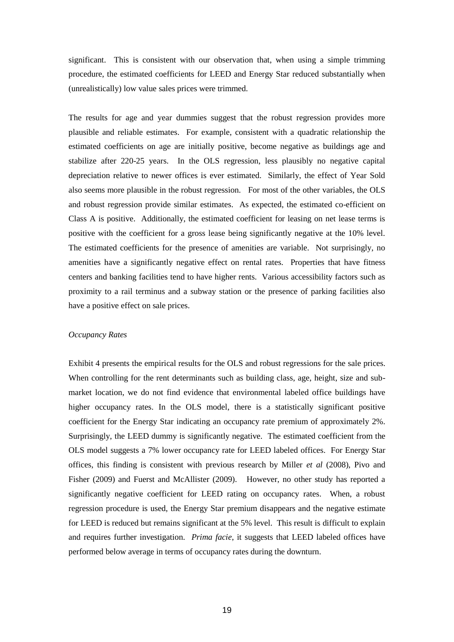significant. This is consistent with our observation that, when using a simple trimming procedure, the estimated coefficients for LEED and Energy Star reduced substantially when (unrealistically) low value sales prices were trimmed.

The results for age and year dummies suggest that the robust regression provides more plausible and reliable estimates. For example, consistent with a quadratic relationship the estimated coefficients on age are initially positive, become negative as buildings age and stabilize after 220-25 years. In the OLS regression, less plausibly no negative capital depreciation relative to newer offices is ever estimated. Similarly, the effect of Year Sold also seems more plausible in the robust regression. For most of the other variables, the OLS and robust regression provide similar estimates. As expected, the estimated co-efficient on Class A is positive. Additionally, the estimated coefficient for leasing on net lease terms is positive with the coefficient for a gross lease being significantly negative at the 10% level. The estimated coefficients for the presence of amenities are variable. Not surprisingly, no amenities have a significantly negative effect on rental rates. Properties that have fitness centers and banking facilities tend to have higher rents. Various accessibility factors such as proximity to a rail terminus and a subway station or the presence of parking facilities also have a positive effect on sale prices.

#### *Occupancy Rates*

Exhibit 4 presents the empirical results for the OLS and robust regressions for the sale prices. When controlling for the rent determinants such as building class, age, height, size and submarket location, we do not find evidence that environmental labeled office buildings have higher occupancy rates. In the OLS model, there is a statistically significant positive coefficient for the Energy Star indicating an occupancy rate premium of approximately 2%. Surprisingly, the LEED dummy is significantly negative. The estimated coefficient from the OLS model suggests a 7% lower occupancy rate for LEED labeled offices. For Energy Star offices, this finding is consistent with previous research by Miller *et al* (2008), Pivo and Fisher (2009) and Fuerst and McAllister (2009). However, no other study has reported a significantly negative coefficient for LEED rating on occupancy rates. When, a robust regression procedure is used, the Energy Star premium disappears and the negative estimate for LEED is reduced but remains significant at the 5% level. This result is difficult to explain and requires further investigation. *Prima facie*, it suggests that LEED labeled offices have performed below average in terms of occupancy rates during the downturn.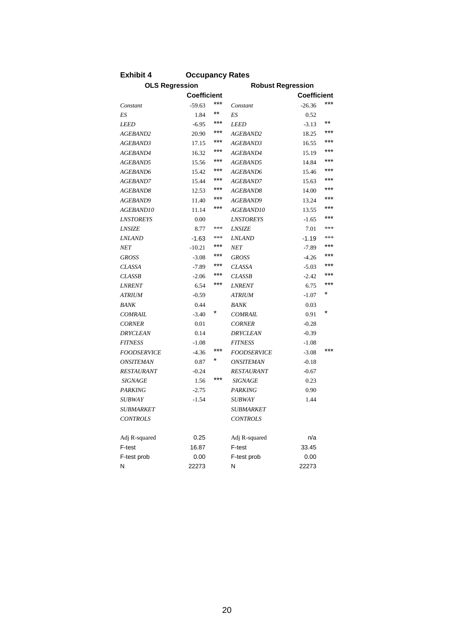| <b>OLS Regression</b> |          |       | <b>Robust Regression</b> |          |         |
|-----------------------|----------|-------|--------------------------|----------|---------|
| <b>Coefficient</b>    |          |       | <b>Coefficient</b>       |          |         |
| Constant              | $-59.63$ | $***$ | Constant                 | $-26.36$ | ***     |
| ES                    | 1.84     | $***$ | ES                       | 0.52     |         |
| <b>LEED</b>           | $-6.95$  | ***   | <b>LEED</b>              | $-3.13$  | $***$   |
| AGEBAND2              | 20.90    | ***   | AGEBAND2                 | 18.25    | ***     |
| AGEBAND3              | 17.15    | ***   | AGEBAND3                 | 16.55    | ***     |
| AGEBAND4              | 16.32    | ***   | AGEBAND4                 | 15.19    | ***     |
| AGEBAND5              | 15.56    | ***   | AGEBAND5                 | 14.84    | ***     |
| AGEBAND6              | 15.42    | ***   | AGEBAND6                 | 15.46    | ***     |
| AGEBAND7              | 15.44    | ***   | <i>AGEBAND7</i>          | 15.63    | ***     |
| AGEBAND8              | 12.53    | ***   | AGEBAND8                 | 14.00    | ***     |
| AGEBAND9              | 11.40    | ***   | <i>AGEBAND9</i>          | 13.24    | ***     |
| <i>AGEBAND10</i>      | 11.14    | ***   | <i>AGEBAND10</i>         | 13.55    | ***     |
| <b>LNSTOREYS</b>      | 0.00     |       | <b>LNSTOREYS</b>         | $-1.65$  | ***     |
| <b>LNSIZE</b>         | 8.77     | ***   | <b>LNSIZE</b>            | 7.01     | ***     |
| <b>LNLAND</b>         | $-1.63$  | ***   | <b>LNLAND</b>            | $-1.19$  | ***     |
| NET                   | $-10.21$ | ***   | <b>NET</b>               | $-7.89$  | ***     |
| <b>GROSS</b>          | $-3.08$  | ***   | <b>GROSS</b>             | $-4.26$  | ***     |
| <b>CLASSA</b>         | $-7.89$  | ***   | <b>CLASSA</b>            | $-5.03$  | ***     |
| <b>CLASSB</b>         | $-2.06$  | ***   | <b>CLASSB</b>            | $-2.42$  | ***     |
| <b>LNRENT</b>         | 6.54     | ***   | <b>LNRENT</b>            | 6.75     | ***     |
| <b>ATRIUM</b>         | $-0.59$  |       | <b>ATRIUM</b>            | $-1.07$  |         |
| BANK                  | 0.44     |       | BANK                     | 0.03     |         |
| <b>COMRAIL</b>        | $-3.40$  |       | <b>COMRAIL</b>           | 0.91     | $\star$ |
| <b>CORNER</b>         | 0.01     |       | <b>CORNER</b>            | $-0.28$  |         |
| <b>DRYCLEAN</b>       | 0.14     |       | <b>DRYCLEAN</b>          | $-0.39$  |         |
| <b>FITNESS</b>        | $-1.08$  |       | <b>FITNESS</b>           | $-1.08$  |         |
| <b>FOODSERVICE</b>    | $-4.36$  | ***   | <b>FOODSERVICE</b>       | $-3.08$  | ***     |
| ONSITEMAN             | 0.87     |       | <b>ONSITEMAN</b>         | $-0.18$  |         |
| <i>RESTAURANT</i>     | $-0.24$  |       | <i>RESTAURANT</i>        | $-0.67$  |         |
| <i>SIGNAGE</i>        | 1.56     | ***   | <b>SIGNAGE</b>           | 0.23     |         |
| <b>PARKING</b>        | $-2.75$  |       | <b>PARKING</b>           | 0.90     |         |
| <i>SUBWAY</i>         | $-1.54$  |       | <i>SUBWAY</i>            | 1.44     |         |
| <i>SUBMARKET</i>      |          |       | <i>SUBMARKET</i>         |          |         |
| <b>CONTROLS</b>       |          |       | <b>CONTROLS</b>          |          |         |
| Adj R-squared         | 0.25     |       | Adj R-squared            | n/a      |         |
| F-test                | 16.87    |       | F-test                   | 33.45    |         |
| F-test prob           | 0.00     |       | F-test prob              | 0.00     |         |
| Ν                     | 22273    |       | Ν                        | 22273    |         |

**Exhibit 4 Occupancy Rates**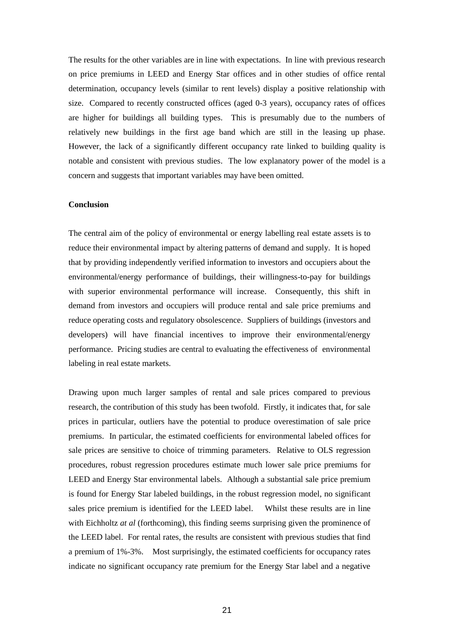The results for the other variables are in line with expectations. In line with previous research on price premiums in LEED and Energy Star offices and in other studies of office rental determination, occupancy levels (similar to rent levels) display a positive relationship with size. Compared to recently constructed offices (aged 0-3 years), occupancy rates of offices are higher for buildings all building types. This is presumably due to the numbers of relatively new buildings in the first age band which are still in the leasing up phase. However, the lack of a significantly different occupancy rate linked to building quality is notable and consistent with previous studies. The low explanatory power of the model is a concern and suggests that important variables may have been omitted.

#### **Conclusion**

The central aim of the policy of environmental or energy labelling real estate assets is to reduce their environmental impact by altering patterns of demand and supply. It is hoped that by providing independently verified information to investors and occupiers about the environmental/energy performance of buildings, their willingness-to-pay for buildings with superior environmental performance will increase. Consequently, this shift in demand from investors and occupiers will produce rental and sale price premiums and reduce operating costs and regulatory obsolescence. Suppliers of buildings (investors and developers) will have financial incentives to improve their environmental/energy performance. Pricing studies are central to evaluating the effectiveness of environmental labeling in real estate markets.

Drawing upon much larger samples of rental and sale prices compared to previous research, the contribution of this study has been twofold. Firstly, it indicates that, for sale prices in particular, outliers have the potential to produce overestimation of sale price premiums. In particular, the estimated coefficients for environmental labeled offices for sale prices are sensitive to choice of trimming parameters. Relative to OLS regression procedures, robust regression procedures estimate much lower sale price premiums for LEED and Energy Star environmental labels. Although a substantial sale price premium is found for Energy Star labeled buildings, in the robust regression model, no significant sales price premium is identified for the LEED label. Whilst these results are in line with Eichholtz *at al* (forthcoming), this finding seems surprising given the prominence of the LEED label. For rental rates, the results are consistent with previous studies that find a premium of 1%-3%. Most surprisingly, the estimated coefficients for occupancy rates indicate no significant occupancy rate premium for the Energy Star label and a negative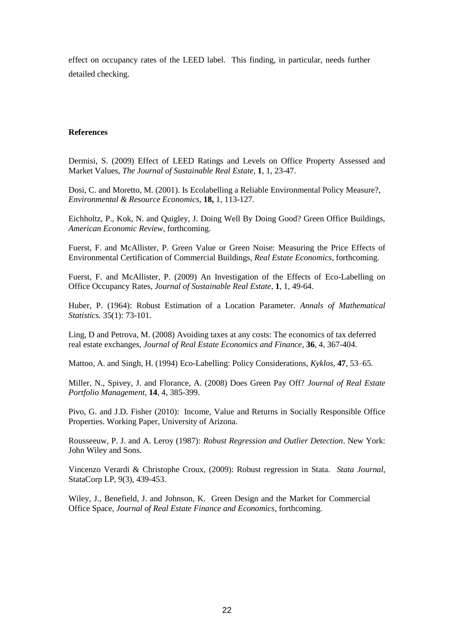effect on occupancy rates of the LEED label. This finding, in particular, needs further detailed checking.

#### **References**

Dermisi, S. (2009) Effect of LEED Ratings and Levels on Office Property Assessed and Market Values, *The Journal of Sustainable Real Estate*, **1**, 1, 23-47.

Dosi, C. and Moretto, M. (2001). Is Ecolabelling a Reliable Environmental Policy Measure?, *Environmental & Resource Economics*, **18,** 1, 113-127.

Eichholtz, P., Kok, N. and Quigley, J. Doing Well By Doing Good? Green Office Buildings, *American Economic Review*, forthcoming.

Fuerst, F. and McAllister, P. Green Value or Green Noise: Measuring the Price Effects of Environmental Certification of Commercial Buildings, *Real Estate Economics*, forthcoming.

Fuerst, F. and McAllister, P. (2009) An Investigation of the Effects of Eco-Labelling on Office Occupancy Rates, *Journal of Sustainable Real Estate*, **1**, 1, 49-64.

Huber, P. (1964): Robust Estimation of a Location Parameter. *Annals of Mathematical Statistics.* 35(1): 73-101.

Ling, D and Petrova, M. (2008) Avoiding taxes at any costs: The economics of tax deferred real estate exchanges, *Journal of Real Estate Economics and Finance*, **36**, 4, 367-404.

Mattoo, A. and Singh, H. (1994) Eco-Labelling: Policy Considerations, *Kyklos,* **47**, 53–65.

Miller, N., Spivey, J. and Florance, A. (2008) Does Green Pay Off? *Journal of Real Estate Portfolio Management*, **14**, 4, 385-399.

Pivo, G. and J.D. Fisher (2010): Income, Value and Returns in Socially Responsible Office Properties. Working Paper, University of Arizona.

Rousseeuw, P. J. and A. Leroy (1987): *Robust Regression and Outlier Detection*. New York: John Wiley and Sons.

Vincenzo Verardi & Christophe Croux, (2009): Robust regression in Stata. *Stata Journal*, StataCorp LP, 9(3), 439-453.

Wiley, J., Benefield, J. and Johnson, K. Green Design and the Market for Commercial Office Space, *Journal of Real Estate Finance and Economics*, forthcoming.